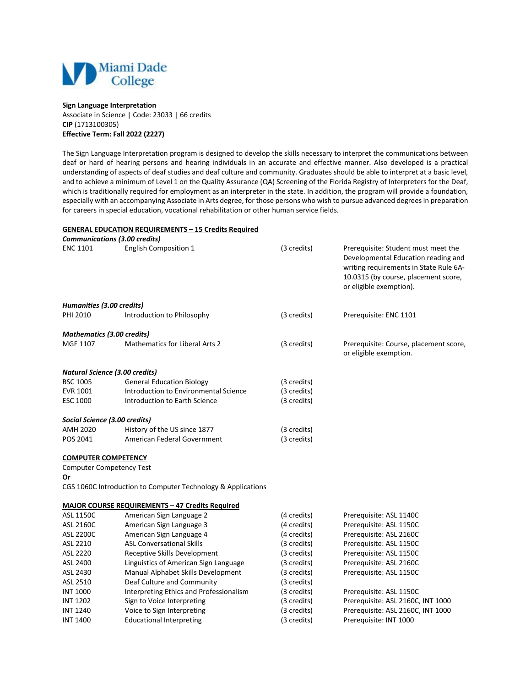

## **Sign Language Interpretation**

Associate in Science | Code: 23033 | 66 credits **CIP** (1713100305) **Effective Term: Fall 2022 (2227)**

The Sign Language Interpretation program is designed to develop the skills necessary to interpret the communications between deaf or hard of hearing persons and hearing individuals in an accurate and effective manner. Also developed is a practical understanding of aspects of deaf studies and deaf culture and community. Graduates should be able to interpret at a basic level, and to achieve a minimum of Level 1 on the Quality Assurance (QA) Screening of the Florida Registry of Interpreters for the Deaf, which is traditionally required for employment as an interpreter in the state. In addition, the program will provide a foundation, especially with an accompanying Associate in Arts degree, for those persons who wish to pursue advanced degrees in preparation for careers in special education, vocational rehabilitation or other human service fields.

## **GENERAL EDUCATION REQUIREMENTS – 15 Credits Required**

|                                       | <b>Communications (3.00 credits)</b>                         |             |                                                                                                                                                                                         |
|---------------------------------------|--------------------------------------------------------------|-------------|-----------------------------------------------------------------------------------------------------------------------------------------------------------------------------------------|
| <b>ENC 1101</b>                       | <b>English Composition 1</b>                                 | (3 credits) | Prerequisite: Student must meet the<br>Developmental Education reading and<br>writing requirements in State Rule 6A-<br>10.0315 (by course, placement score,<br>or eligible exemption). |
| Humanities (3.00 credits)             |                                                              |             |                                                                                                                                                                                         |
| PHI 2010                              | Introduction to Philosophy                                   | (3 credits) | Prerequisite: ENC 1101                                                                                                                                                                  |
| Mathematics (3.00 credits)            |                                                              |             |                                                                                                                                                                                         |
| MGF 1107                              | <b>Mathematics for Liberal Arts 2</b>                        | (3 credits) | Prerequisite: Course, placement score,<br>or eligible exemption.                                                                                                                        |
| <b>Natural Science (3.00 credits)</b> |                                                              |             |                                                                                                                                                                                         |
| <b>BSC 1005</b>                       | <b>General Education Biology</b>                             | (3 credits) |                                                                                                                                                                                         |
| EVR 1001                              | Introduction to Environmental Science                        | (3 credits) |                                                                                                                                                                                         |
| <b>ESC 1000</b>                       | Introduction to Earth Science                                | (3 credits) |                                                                                                                                                                                         |
| Social Science (3.00 credits)         |                                                              |             |                                                                                                                                                                                         |
| AMH 2020                              | History of the US since 1877                                 | (3 credits) |                                                                                                                                                                                         |
| POS 2041                              | American Federal Government                                  | (3 credits) |                                                                                                                                                                                         |
| <b>COMPUTER COMPETENCY</b>            |                                                              |             |                                                                                                                                                                                         |
| <b>Computer Competency Test</b>       |                                                              |             |                                                                                                                                                                                         |
| Or                                    |                                                              |             |                                                                                                                                                                                         |
|                                       | CGS 1060C Introduction to Computer Technology & Applications |             |                                                                                                                                                                                         |
|                                       | <b>MAJOR COURSE REQUIREMENTS - 47 Credits Required</b>       |             |                                                                                                                                                                                         |
| <b>ASL 1150C</b>                      | American Sign Language 2                                     | (4 credits) | Prerequisite: ASL 1140C                                                                                                                                                                 |
| ASL 2160C                             | American Sign Language 3                                     | (4 credits) | Prerequisite: ASL 1150C                                                                                                                                                                 |
| <b>ASL 2200C</b>                      | American Sign Language 4                                     | (4 credits) | Prerequisite: ASL 2160C                                                                                                                                                                 |
| ASL 2210                              | <b>ASL Conversational Skills</b>                             | (3 credits) | Prerequisite: ASL 1150C                                                                                                                                                                 |
| ASL 2220                              | Receptive Skills Development                                 | (3 credits) | Prerequisite: ASL 1150C                                                                                                                                                                 |
| ASL 2400                              | Linguistics of American Sign Language                        | (3 credits) | Prerequisite: ASL 2160C                                                                                                                                                                 |
| ASL 2430                              | Manual Alphabet Skills Development                           | (3 credits) | Prerequisite: ASL 1150C                                                                                                                                                                 |
| ASL 2510                              | Deaf Culture and Community                                   | (3 credits) |                                                                                                                                                                                         |
| <b>INT 1000</b>                       | Interpreting Ethics and Professionalism                      | (3 credits) | Prerequisite: ASL 1150C                                                                                                                                                                 |
| <b>INT 1202</b>                       | Sign to Voice Interpreting                                   | (3 credits) | Prerequisite: ASL 2160C, INT 1000                                                                                                                                                       |
| <b>INT 1240</b>                       | Voice to Sign Interpreting                                   | (3 credits) | Prerequisite: ASL 2160C, INT 1000                                                                                                                                                       |
| <b>INT 1400</b>                       | <b>Educational Interpreting</b>                              | (3 credits) | Prerequisite: INT 1000                                                                                                                                                                  |